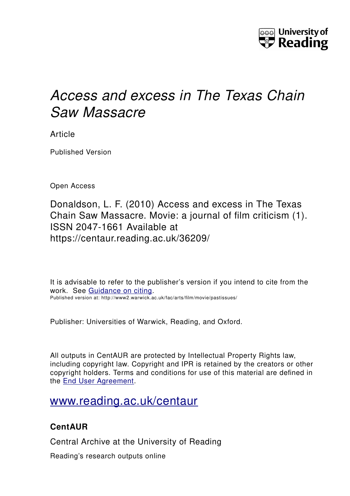

# *Access and excess in The Texas Chain Saw Massacre*

Article

Published Version

Open Access

Donaldson, L. F. (2010) Access and excess in The Texas Chain Saw Massacre. Movie: a journal of film criticism (1). ISSN 2047-1661 Available at https://centaur.reading.ac.uk/36209/

It is advisable to refer to the publisher's version if you intend to cite from the work. See [Guidance on citing.](http://centaur.reading.ac.uk/71187/10/CentAUR%20citing%20guide.pdf) Published version at: http://www2.warwick.ac.uk/fac/arts/film/movie/pastissues/

Publisher: Universities of Warwick, Reading, and Oxford.

All outputs in CentAUR are protected by Intellectual Property Rights law, including copyright law. Copyright and IPR is retained by the creators or other copyright holders. Terms and conditions for use of this material are defined in the [End User Agreement.](http://centaur.reading.ac.uk/licence)

## [www.reading.ac.uk/centaur](http://www.reading.ac.uk/centaur)

### **CentAUR**

Central Archive at the University of Reading

Reading's research outputs online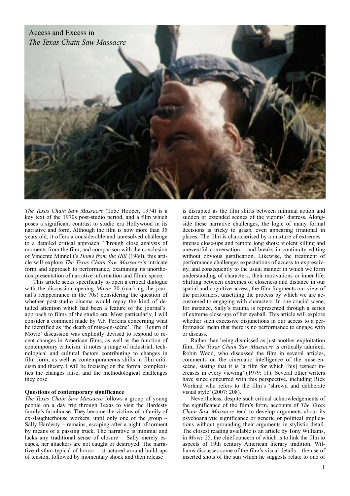

*The Texas Chain Saw Massacre* (Tobe Hooper, 1974) is a key text of the 1970s post-studio period, and a film which poses a significant contrast to studio era Hollywood in its narrative and form. Although the film is now more than 35 years old, it offers a considerable and unresolved challenge to a detailed critical approach. Through close analysis of moments from the film, and comparison with the conclusion of Vincente Minnelli's *Home from the Hill* (1960), this article will explore *The Texas Chain Saw Massacre*'s intricate form and approach to performance, examining its unorthodox presentation of narrative information and filmic space.

 This article seeks specifically to open a critical dialogue with the discussion opening *Movie* 20 (marking the journal's reappearance in the 70s) considering the question of whether post-studio cinema would repay the kind of detailed attention which had been a feature of the journal's approach to films of the studio era. Most particularly, I will consider a comment made by V.F. Perkins concerning what he identified as 'the death of mise-en-scène'. The 'Return of Movie' discussion was explicitly devised to respond to recent changes in American films, as well as the function of contemporary criticism: it notes a range of industrial, technological and cultural factors contributing to changes in film form, as well as contemporaneous shifts in film criticism and theory. I will be focusing on the formal complexities the changes raise, and the methodological challenges they pose.

#### **Questions of contemporary significance**

*The Texas Chain Saw Massacre* follows a group of young people on a day trip through Texas to visit the Hardesty family's farmhouse. They become the victims of a family of ex-slaughterhouse workers, until only one of the group – Sally Hardesty – remains, escaping after a night of torment by means of a passing truck. The narrative is minimal and lacks any traditional sense of closure – Sally merely escapes, her attackers are not caught or destroyed. The narrative rhythm typical of horror – structured around build-ups of tension, followed by momentary shock and then release –

is disrupted as the film shifts between minimal action and sudden or extended scenes of the victims' distress. Alongside these narrative challenges, the logic of many formal decisions is tricky to grasp, even appearing irrational in places. The film is characterised by a mixture of extremes – intense close-ups and remote long shots; violent killing and uneventful conversation – and breaks in continuity editing without obvious justification. Likewise, the treatment of performance challenges expectations of access to expressivity, and consequently to the usual manner in which we form understanding of characters, their motivations or inner life. Shifting between extremes of closeness and distance in our spatial and cognitive access, the film fragments our view of the performers, unsettling the process by which we are accustomed to engaging with characters. In one crucial scene, for instance, Sally's trauma is represented through a series of extreme close-ups of her eyeball. This article will explore whether such excessive disjunctions in our access to a performance mean that there is no performance to engage with or discuss.

 Rather than being dismissed as just another exploitation film, *The Texas Chain Saw Massacre* is critically admired. Robin Wood, who discussed the film in several articles, comments on the cinematic intelligence of the mise-enscène, stating that it is 'a film for which [his] respect increases in every viewing' (1979: 11). Several other writers have since concurred with this perspective, including Rick Worland who refers to the film's 'shrewd and deliberate visual style' (2007: 208).

 Nevertheless, despite such critical acknowledgements of the significance of the film's form, accounts of *The Texas Chain Saw Massacre* tend to develop arguments about its psychoanalytic significance or generic or political implications without grounding their arguments in stylistic detail. The closest reading available is an article by Tony Williams, in *Movie* 25, the chief concern of which is to link the film to aspects of 19th century American literary tradition. Williams discusses some of the film's visual details – the use of inserted shots of the sun which he suggests relate to one of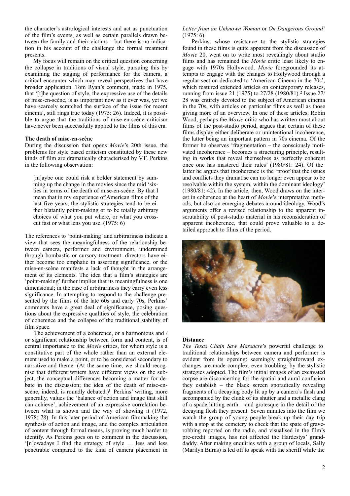the character's astrological interests and act as punctuation of the film's events, as well as certain parallels drawn between the family and their victims – but there is no indication in his account of the challenge the formal treatment presents.

 My focus will remain on the critical question concerning the collapse in traditions of visual style, pursuing this by examining the staging of performance for the camera, a critical encounter which may reveal perspectives that have broader application. Tom Ryan's comment, made in 1975, that '[t]he question of style, the expressive use of the details of mise-en-scène, is as important now as it ever was, yet we have scarcely scratched the surface of the issue for recent cinema', still rings true today (1975: 26). Indeed, it is possible to argue that the traditions of mise-en-scène criticism have never been successfully applied to the films of this era.

#### **The death of mise-en-scène**

During the discussion that opens *Movie*'s 20th issue, the problems for style based criticism constituted by these new kinds of film are dramatically characterised by V.F. Perkins in the following observation:

[m]aybe one could risk a bolder statement by summing up the change in the movies since the mid 'sixties in terms of the death of mise-en-scène. By that I mean that in my experience of American films of the last five years, the stylistic strategies tend to be either blatantly point-making or to be totally arbitrary choices of what you put where, or what you crosscut fast or what lens you use. (1975: 6)

The references to 'point-making' and arbitrariness indicate a view that sees the meaningfulness of the relationship between camera, performer and environment, undermined through bombastic or cursory treatment: directors have either become too emphatic in asserting significance, or the mise-en-scène manifests a lack of thought in the arrangement of its elements. The idea that a film's strategies are 'point-making' further implies that its meaningfulness is one dimensional; in the case of arbitrariness they carry even less significance. In attempting to respond to the challenge presented by the films of the late 60s and early 70s, Perkins' comments have a great deal of significance, posing questions about the expressive qualities of style, the celebration of coherence and the collapse of the traditional stability of film space.

 The achievement of a coherence, or a harmonious and / or significant relationship between form and content, is of central importance to the *Movie* critics, for whom style is a constitutive part of the whole rather than an external element used to make a point, or to be considered secondary to narrative and theme. (At the same time, we should recognise that different writers have different views on the subject, the conceptual differences becoming a matter for debate in the discussion; the idea of the death of mise-enscène, indeed, is roundly debated.)<sup>1</sup> Perkins' writing, more generally, values the 'balance of action and image that skill can achieve', achievement of an expressive correlation between what is shown and the way of showing it (1972, 1978: 78). In this later period of American filmmaking the synthesis of action and image, and the complex articulation of content through formal means, is proving much harder to identify. As Perkins goes on to comment in the discussion, '[n]owadays I find the strategy of style … less and less penetrable compared to the kind of camera placement in

*Letter from an Unknown Woman* or *On Dangerous Ground*'  $(1975: 6)$ .

 Perkins, whose resistance to the stylistic strategies found in these films is quite apparent from the discussion of *Movie* 20, went on to write most revealingly about studio films and has remained the *Movie* critic least likely to engage with 1970s Hollywood. *Movie* foregrounded its attempts to engage with the changes to Hollywood through a regular section dedicated to 'American Cinema in the 70s', which featured extended articles on contemporary releases, running from issue [2](#page-9-1)1 (1975) to  $27/28$  (1980/81).<sup>2</sup> Issue 27/ 28 was entirely devoted to the subject of American cinema in the 70s, with articles on particular films as well as those giving more of an overview. In one of these articles, Robin Wood, perhaps the *Movie* critic who has written most about films of the post-studio period, argues that certain of these films display either deliberate or unintentional incoherence, the latter being an important pattern in 70s cinema. Of the former he observes 'fragmentation – the consciously motivated incoherence – becomes a structuring principle, resulting in works that reveal themselves as perfectly coherent once one has mastered their rules' (1980/81: 24). Of the latter he argues that incoherence is the 'proof that the issues and conflicts they dramatise can no longer even appear to be resolvable within the system, within the dominant ideology' (1980/81: 42). In the article, then, Wood draws on the interest in coherence at the heart of *Movie*'s interpretative methods, but also on emerging debates around ideology. Wood's arguments offer a revised relationship to the apparent inscrutability of post-studio material in his reconsideration of apparent incoherence, that could prove valuable to a detailed approach to films of the period.



#### **Distance**

*The Texas Chain Saw Massacre*'s powerful challenge to traditional relationships between camera and performer is evident from its opening: seemingly straightforward exchanges are made complex, even troubling, by the stylistic strategies adopted. The film's initial images of an excavated corpse are disconcerting for the spatial and aural confusion they establish – the black screen sporadically revealing fragments of a decaying body lit up by a camera's flash and accompanied by the clunk of its shutter and a metallic clang of a spade hitting earth – and grotesque in the detail of the decaying flesh they present. Seven minutes into the film we watch the group of young people break up their day trip with a stop at the cemetery to check that the spate of graverobbing reported on the radio, and visualised in the film's pre-credit images, has not affected the Hardestys' granddaddy. After making enquiries with a group of locals, Sally (Marilyn Burns) is led off to speak with the sheriff while the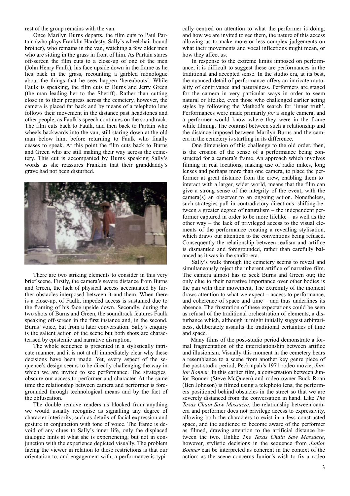rest of the group remains with the van.

 Once Marilyn Burns departs, the film cuts to Paul Partain (who plays Franklin Hardesty, Sally's wheelchair bound brother), who remains in the van, watching a few older men who are sitting in the grass in front of him. As Partain stares off-screen the film cuts to a close-up of one of the men (John Henry Faulk), his face upside down in the frame as he lies back in the grass, recounting a garbled monologue about the things that he sees happen 'hereabouts'. While Faulk is speaking, the film cuts to Burns and Jerry Green (the man leading her to the Sheriff). Rather than cutting close in to their progress across the cemetery, however, the camera is placed far back and by means of a telephoto lens follows their movement in the distance past headstones and other people, as Faulk's speech continues on the soundtrack. The film cuts back to Faulk, and then back to Partain who wheels backwards into the van, still staring down at the old man below him, before returning to Faulk who finally ceases to speak. At this point the film cuts back to Burns and Green who are still making their way across the cemetery. This cut is accompanied by Burns speaking Sally's words as she reassures Franklin that their granddaddy's grave had not been disturbed.



 There are two striking elements to consider in this very brief scene. Firstly, the camera's severe distance from Burns and Green, the lack of physical access accentuated by further obstacles interposed between it and them. When there is a close-up, of Faulk, impeded access is sustained due to the framing of his face upside down. Secondly, during the two shots of Burns and Green, the soundtrack features Faulk speaking off-screen in the first instance and, in the second, Burns' voice, but from a later conversation. Sally's enquiry is the salient action of the scene but both shots are characterised by epistemic and narrative disruption.

 The whole sequence is presented in a stylistically intricate manner, and it is not at all immediately clear why these decisions have been made. Yet, every aspect of the sequence's design seems to be directly challenging the way in which we are invited to see performance. The strategies obscure our access to performer and character. At the same time the relationship between camera and performer is foregrounded through technological means and by the fact of the obfuscation.

 The double remove renders us blocked from anything we would usually recognise as signalling any degree of character interiority, such as details of facial expression and gesture in conjunction with tone of voice. The frame is devoid of any clues to Sally's inner life, only the displaced dialogue hints at what she is experiencing; but not in conjunction with the experience depicted visually. The problem facing the viewer in relation to these restrictions is that our orientation to, and engagement with, a performance is typically centred on attention to what the performer is doing, and how we are invited to see them, the nature of this access allowing us to make more or less complex judgements on what their movements and vocal inflections might mean, or how they affect us.

In response to the extreme limits imposed on performance, it is difficult to suggest these are performances in the traditional and accepted sense. In the studio era, at its best, the nuanced detail of performance offers an intricate mutuality of contrivance and naturalness. Performers are staged for the camera in very particular ways in order to seem natural or lifelike, even those who challenged earlier acting styles by following the Method's search for 'inner truth'. Performances were made primarily *for* a single camera, and a performer would know where they were in the frame while filming. The contrast between such a relationship and the distance imposed between Marilyn Burns and the camera in the cemetery is startling in its difference.

 One dimension of this challenge to the old order, then, is the erosion of the sense of a performance being constructed for a camera's frame. An approach which involves filming in real locations, making use of radio mikes, long lenses and perhaps more than one camera, to place the performer at great distance from the crew, enabling them to interact with a larger, wider world, means that the film can give a strong sense of the integrity of the event, with the camera(s) an observer to an ongoing action. Nonetheless, such strategies pull in contradictory directions, shifting between a greater degree of naturalism – the independent performer captured in order to be more lifelike – as well as the other way – the lack of privileged access to the visual elements of the performance creating a revealing stylisation, which draws our attention to the conventions being refused. Consequently the relationship between realism and artifice is dismantled and foregrounded, rather than carefully balanced as it was in the studio-era.

 Sally's walk through the cemetery seems to reveal and simultaneously reject the inherent artifice of narrative film. The camera almost has to seek Burns and Green out; the only clue to their narrative importance over other bodies is the pan with their movement. The extremity of the moment draws attention to what we expect – access to performance, and coherence of space and time – and thus underlines its absence. The frustration of these expectations could be seen as refusal of the traditional orchestration of elements, a disturbance which, although it might initially suggest arbitrariness, deliberately assaults the traditional certainties of time and space.

 Many films of the post-studio period demonstrate a formal fragmentation of the interrelationship between artifice and illusionism. Visually this moment in the cemetery bears a resemblance to a scene from another key genre piece of the post-studio period, Peckinpah's 1971 rodeo movie, *Junior Bonner*. In this earlier film, a conversation between Junior Bonner (Steve McQueen) and rodeo owner Buck Roan (Ben Johnson) is filmed using a telephoto lens, the performers positioned behind obstacles in the street so that we are severely distanced from the conversation in hand. Like *The Texas Chain Saw Massacre*, the relationship between camera and performer does not privilege access to expressivity, allowing both the characters to exist in a less constructed space, and the audience to become aware of the performer as filmed, drawing attention to the artificial distance between the two. Unlike *The Texas Chain Saw Massacre*, however, stylistic decisions in the sequence from *Junior Bonner* can be interpreted as coherent in the context of the action; as the scene concerns Junior's wish to fix a rodeo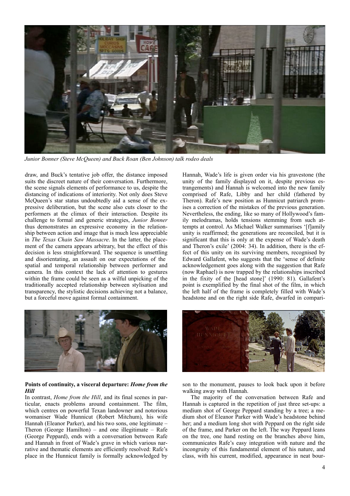

*Junior Bonner (Steve McQueen) and Buck Roan (Ben Johnson) talk rodeo deals*

draw, and Buck's tentative job offer, the distance imposed suits the discreet nature of their conversation. Furthermore, the scene signals elements of performance to us, despite the distancing of indications of interiority. Not only does Steve McQueen's star status undoubtedly aid a sense of the expressive deliberation, but the scene also cuts closer to the performers at the climax of their interaction. Despite its challenge to formal and generic strategies, *Junior Bonner* thus demonstrates an expressive economy in the relationship between action and image that is much less appreciable in *The Texas Chain Saw Massacre*. In the latter, the placement of the camera appears arbitrary, but the effect of this decision is less straightforward. The sequence is unsettling and disorientating, an assault on our expectations of the spatial and temporal relationship between performer and camera. In this context the lack of attention to gestures within the frame could be seen as a wilful unpicking of the traditionally accepted relationship between stylisation and transparency, the stylistic decisions achieving not a balance, but a forceful move against formal containment.



#### **Points of continuity, a visceral departure:** *Home from the Hill*

In contrast, *Home from the Hill*, and its final scenes in particular, enacts problems around containment. The film, which centres on powerful Texan landowner and notorious womaniser Wade Hunnicut (Robert Mitchum), his wife Hannah (Eleanor Parker), and his two sons, one legitimate – Theron (George Hamilton) – and one illegitimate – Rafe (George Peppard), ends with a conversation between Rafe and Hannah in front of Wade's grave in which various narrative and thematic elements are efficiently resolved: Rafe's place in the Hunnicut family is formally acknowledged by

Hannah, Wade's life is given order via his gravestone (the unity of the family displayed on it, despite previous estrangements) and Hannah is welcomed into the new family comprised of Rafe, Libby and her child (fathered by Theron). Rafe's new position as Hunnicut patriarch promises a correction of the mistakes of the previous generation. Nevertheless, the ending, like so many of Hollywood's family melodramas, holds tensions stemming from such attempts at control. As Michael Walker summarises '[f]amily unity is reaffirmed; the generations are reconciled, but it is significant that this is only at the expense of Wade's death and Theron's exile' (2004: 34). In addition, there is the effect of this unity on its surviving members, recognised by Edward Gallafent, who suggests that the 'sense of definite acknowledgement goes along with the suggestion that Rafe (now Raphael) is now trapped by the relationships inscribed in the fixity of the [head stone]' (1990: 81). Gallafent's point is exemplified by the final shot of the film, in which the left half of the frame is completely filled with Wade's headstone and on the right side Rafe, dwarfed in compari-



son to the monument, pauses to look back upon it before walking away with Hannah.

 The majority of the conversation between Rafe and Hannah is captured in the repetition of just three set-ups: a medium shot of George Peppard standing by a tree; a medium shot of Eleanor Parker with Wade's headstone behind her; and a medium long shot with Peppard on the right side of the frame, and Parker on the left. The way Peppard leans on the tree, one hand resting on the branches above him, communicates Rafe's easy integration with nature and the incongruity of this fundamental element of his nature, and class, with his current, modified, appearance in neat bour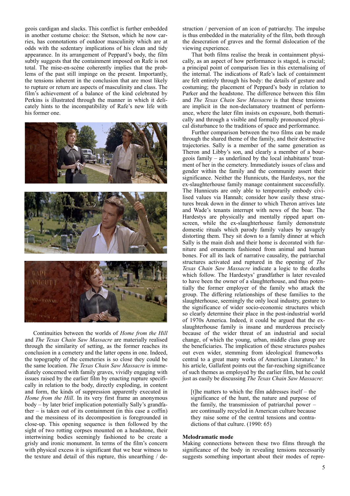geois cardigan and slacks. This conflict is further embedded in another costume choice: the Stetson, which he now carries, has connotations of outdoor masculinity which are at odds with the sedentary implications of his clean and tidy appearance. In its arrangement of Peppard's body, the film subtly suggests that the containment imposed on Rafe is not total. The mise-en-scène coherently implies that the problems of the past still impinge on the present. Importantly, the tensions inherent in the conclusion that are most likely to rupture or return are aspects of masculinity and class. The film's achievement of a balance of the kind celebrated by Perkins is illustrated through the manner in which it delicately hints to the incompatibility of Rafe's new life with his former one.



 Continuities between the worlds of *Home from the Hill* and *The Texas Chain Saw Massacre* are materially realised through the similarity of setting, as the former reaches its conclusion in a cemetery and the latter opens in one. Indeed, the topography of the cemeteries is so close they could be the same location. *The Texas Chain Saw Massacre* is immediately concerned with family graves, vividly engaging with issues raised by the earlier film by enacting rupture specifically in relation to the body, directly exploding, in content and form, the kinds of suppression apparently executed in *Home from the Hill*. In its very first frame an anonymous body – by later brief implication potentially Sally's grandfather – is taken out of its containment (in this case a coffin) and the messiness of its decomposition is foregrounded in close-up. This opening sequence is then followed by the sight of two rotting corpses mounted on a headstone, their intertwining bodies seemingly fashioned to be create a grisly and ironic monument. In terms of the film's concern with physical excess it is significant that we bear witness to the texture and detail of this rupture, this unearthing / destruction / perversion of an icon of patriarchy. The impulse is thus embedded in the materiality of the film, both through the desecration of graves and the formal dislocation of the viewing experience.

 That both films realise the break in containment physically, as an aspect of how performance is staged, is crucial; a principal point of comparison lies in this externalising of the internal. The indications of Rafe's lack of containment are felt entirely through his body: the details of gesture and costuming; the placement of Peppard's body in relation to Parker and the headstone. The difference between this film and *The Texas Chain Saw Massacre* is that these tensions are implicit in the non-declamatory treatment of performance, where the later film insists on exposure, both thematically and through a visible and formally pronounced physical disturbance to the traditions of space and performance.

 Further comparison between the two films can be made through the shared theme of the family, and their destructive trajectories. Sally is a member of the same generation as Theron and Libby's son, and clearly a member of a bourgeois family – as underlined by the local inhabitants' treatment of her in the cemetery. Immediately issues of class and gender within the family and the community assert their significance. Neither the Hunnicuts, the Hardestys, nor the ex-slaughterhouse family manage containment successfully. The Hunnicuts are only able to temporarily embody civilised values via Hannah; consider how easily these structures break down in the dinner to which Theron arrives late and Wade's tenants interrupt with news of the boar. The Hardestys are physically and mentally ripped apart onscreen, while the ex-slaughterhouse family demonstrate domestic rituals which parody family values by savagely distorting them. They sit down to a family dinner at which Sally is the main dish and their home is decorated with furniture and ornaments fashioned from animal and human bones. For all its lack of narrative causality, the patriarchal structures activated and ruptured in the opening of *The Texas Chain Saw Massacre* indicate a logic to the deaths which follow. The Hardestys' grandfather is later revealed to have been the owner of a slaughterhouse, and thus potentially the former employer of the family who attack the group. The differing relationships of these families to the slaughterhouse, seemingly the only local industry, gesture to the significance of wider socio-economic structures which so clearly determine their place in the post-industrial world of 1970s America. Indeed, it could be argued that the exslaughterhouse family is insane and murderous precisely because of the wider threat of an industrial and social change, of which the young, urban, middle class group are the beneficiaries. The implication of these structures pushes out even wider, stemming from ideological frameworks central to a great many works of American Literature.[3](#page-9-2) In his article, Gallafent points out the far-reaching significance of such themes as employed by the earlier film, but he could just as easily be discussing *The Texas Chain Saw Massacre*:

[t]he matters to which the film addresses itself – the significance of the hunt, the nature and purpose of the family, the transmission of patriarchal power – are continually recycled in American culture because they raise some of the central tensions and contradictions of that culture. (1990: 65)

#### **Melodramatic mode**

Making connections between these two films through the significance of the body in revealing tensions necessarily suggests something important about their modes of repre-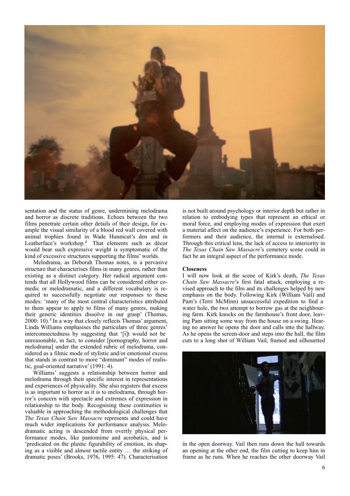

sentation and the status of genre, undermining melodrama and horror as discrete traditions. Echoes between the two films penetrate certain other details of their design, for example the visual similarity of a blood red wall covered with animal trophies found in Wade Hunnicut's den and in Leatherface's workshop[.4](#page-9-3) That elements such as décor would bear such expressive weight is symptomatic of the kind of excessive structures supporting the films' worlds.

 Melodrama, as Deborah Thomas notes, is a pervasive structure that characterises films in many genres, rather than existing as a distinct category. Her radical argument contends that all Hollywood films can be considered either comedic or melodramatic, and a different vocabulary is required to successfully negotiate our responses to these modes: 'many of the most central characteristics attributed to them appear to apply to films of many genres, making their generic identities dissolve in our grasp' (Thomas,  $2000: 10$ .<sup>[5](#page-9-4)</sup> In a way that closely reflects Thomas' argument, Linda Williams emphasises the particulars of three genres' interconnectedness by suggesting that '[i]t would not be unreasonable, in fact, to consider [pornography, horror and melodrama] under the extended rubric of melodrama, considered as a filmic mode of stylistic and/or emotional excess that stands in contrast to more "dominant" modes of realistic, goal-oriented narrative' (1991: 4).

 Williams' suggests a relationship between horror and melodrama through their specific interest in representations and experiences of physicality. She also registers that excess is as important to horror as it is to melodrama, through horror's concern with spectacle and extremes of expression in relationship to the body. Recognising these continuities is valuable in approaching the methodological challenges that *The Texas Chain Saw Massacre* represents and could have much wider implications for performance analysis. Melodramatic acting is descended from overtly physical performance modes, like pantomime and acrobatics, and is 'predicated on the plastic figurability of emotion, its shaping as a visible and almost tactile entity … the striking of dramatic poses' (Brooks, 1976, 1995: 47). Characterisation

is not built around psychology or interior depth but rather in relation to embodying types that represent an ethical or moral force, and employing modes of expression that exert a material affect on the audience's experience. For both performers and their audience, the internal is externalised. Through this critical lens, the lack of access to interiority in *The Texas Chain Saw Massacre*'s cemetery scene could in fact be an integral aspect of the performance mode.

#### **Closeness**

I will now look at the scene of Kirk's death, *The Texas Chain Saw Massacre*'s first fatal attack, employing a revised approach to the film and its challenges helped by new emphasis on the body. Following Kirk (William Vail) and Pam's (Terri McMinn) unsuccessful expedition to find a water hole, the two attempt to borrow gas at the neighbouring farm. Kirk knocks on the farmhouse's front door, leaving Pam sitting some way from the house on a swing. Hearing no answer he opens the door and calls into the hallway. As he opens the screen-door and steps into the hall, the film cuts to a long shot of William Vail, framed and silhouetted



in the open doorway. Vail then runs down the hall towards an opening at the other end, the film cutting to keep him in frame as he runs. When he reaches the other doorway Vail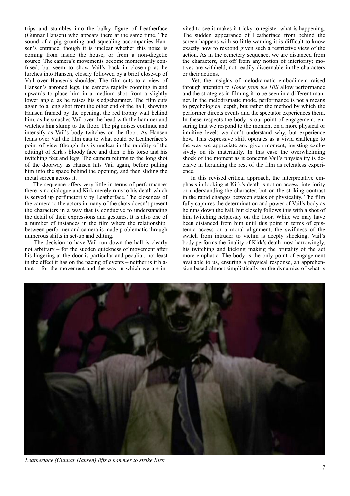trips and stumbles into the bulky figure of Leatherface (Gunnar Hansen) who appears there at the same time. The sound of a pig grunting and squealing accompanies Hansen's entrance, though it is unclear whether this noise is coming from inside the house, or from a non-diegetic source. The camera's movements become momentarily confused, but seem to show Vail's back in close-up as he lurches into Hansen, closely followed by a brief close-up of Vail over Hansen's shoulder. The film cuts to a view of Hansen's aproned legs, the camera rapidly zooming in and upwards to place him in a medium shot from a slightly lower angle, as he raises his sledgehammer. The film cuts again to a long shot from the other end of the hall, showing Hansen framed by the opening, the red trophy wall behind him, as he smashes Vail over the head with the hammer and watches him slump to the floor. The pig noises continue and intensify as Vail's body twitches on the floor. As Hansen leans over Vail the film cuts to what could be Leatherface's point of view (though this is unclear in the rapidity of the editing) of Kirk's bloody face and then to his torso and his twitching feet and legs. The camera returns to the long shot of the doorway as Hansen hits Vail again, before pulling him into the space behind the opening, and then sliding the metal screen across it.

 The sequence offers very little in terms of performance: there is no dialogue and Kirk merely runs to his death which is served up perfunctorily by Leatherface. The closeness of the camera to the actors in many of the shots doesn't present the characters in a way that is conducive to understanding the detail of their expressions and gestures. It is also one of a number of instances in the film where the relationship between performer and camera is made problematic through numerous shifts in set-up and editing.

 The decision to have Vail run down the hall is clearly not arbitrary – for the sudden quickness of movement after his lingering at the door is particular and peculiar, not least in the effect it has on the pacing of events – neither is it blatant – for the movement and the way in which we are invited to see it makes it tricky to register what is happening. The sudden appearance of Leatherface from behind the screen happens with so little warning it is difficult to know exactly how to respond given such a restrictive view of the action. As in the cemetery sequence, we are distanced from the characters, cut off from any notion of interiority; motives are withheld, not readily discernable in the characters or their actions.

 Yet, the insights of melodramatic embodiment raised through attention to *Home from the Hill* allow performance and the strategies in filming it to be seen in a different manner. In the melodramatic mode, performance is not a means to psychological depth, but rather the method by which the performer directs events and the spectator experiences them. In these respects the body is our point of engagement, ensuring that we respond to the moment on a more physical or intuitive level: we don't understand why, but experience how. This expressive shift operates as a vivid challenge to the way we appreciate any given moment, insisting exclusively on its materiality. In this case the overwhelming shock of the moment as it concerns Vail's physicality is decisive in heralding the rest of the film as relentless experience.

 In this revised critical approach, the interpretative emphasis in looking at Kirk's death is not on access, interiority or understanding the character, but on the striking contrast in the rapid changes between states of physicality. The film fully captures the determination and power of Vail's body as he runs down the hall, but closely follows this with a shot of him twitching helplessly on the floor. While we may have been distanced from him until this point in terms of epistemic access or a moral alignment, the swiftness of the switch from intruder to victim is deeply shocking. Vail's body performs the finality of Kirk's death most harrowingly, his twitching and kicking making the brutality of the act more emphatic. The body is the only point of engagement available to us, ensuring a physical response, an apprehension based almost simplistically on the dynamics of what is



*Leatherface (Gunnar Hansen) lifts a hammer to strike Kirk*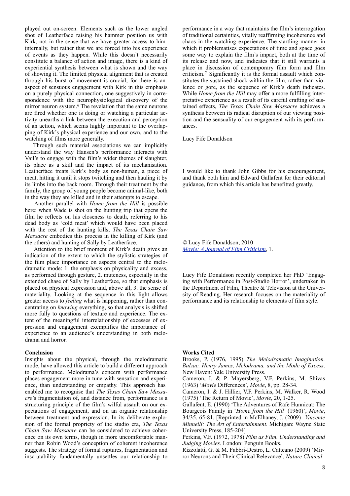played out on-screen. Elements such as the lower angled shot of Leatherface raising his hammer position us with Kirk, not in the sense that we have greater access to him internally, but rather that we are forced into his experience of events as they happen. While this doesn't necessarily constitute a balance of action and image, there is a kind of experiential synthesis between what is shown and the way of showing it. The limited physical alignment that is created through his burst of movement is crucial, for there is an aspect of sensuous engagement with Kirk in this emphasis on a purely physical connection, one suggestively in correspondence with the neurophysiological discovery of the mirror neuron system.<sup>[6](#page-9-5)</sup> The revelation that the same neurons are fired whether one is doing or watching a particular activity unearths a link between the execution and perception of an action, which seems highly important to the overlapping of Kirk's physical experience and our own, and to the watching of films more generally.

 Through such material associations we can implicitly understand the way Hansen's performance interacts with Vail's to engage with the film's wider themes of slaughter, its place as a skill and the impact of its mechanisation. Leatherface treats Kirk's body as non-human, a piece of meat, hitting it until it stops twitching and then hauling it by its limbs into the back room. Through their treatment by the family, the group of young people become animal-like, both in the way they are killed and in their attempts to escape.

Another parallel with *Home from the Hill* is possible here: when Wade is shot on the hunting trip that opens the film he reflects on his closeness to death, referring to his dead body as 'cold meat' which would have been placed with the rest of the hunting kills; *The Texas Chain Saw Massacre* embodies this process in the killing of Kirk (and the others) and hunting of Sally by Leatherface.

 Attention to the brief moment of Kirk's death gives an indication of the extent to which the stylistic strategies of the film place importance on aspects central to the melodramatic mode: 1. the emphasis on physicality and excess, as performed through gesture, 2. muteness, especially in the extended chase of Sally by Leatherface, so that emphasis is placed on physical expression and, above all, 3. the sense of materiality. Looking at the sequence in this light allows greater access to *feeling* what is happening, rather than concentrating on *knowing* everything, so that analysis is shifted more fully to questions of texture and experience. The extent of the meaningful interrelationship of excesses of expression and engagement exemplifies the importance of experience to an audience's understanding in both melodrama and horror.

#### **Conclusion**

Insights about the physical, through the melodramatic mode, have allowed this article to build a different approach to performance. Melodrama's concern with performance places engagement more in tune with sensation and experience, than understanding or empathy. This approach has enabled me to recognise that *The Texas Chain Saw Massacre*'s fragmentation of, and distance from, performance is a structuring principle of the film's wilful assault on our expectations of engagement, and on an organic relationship between treatment and expression. In its deliberate explosion of the formal propriety of the studio era, *The Texas Chain Saw Massacre* can be considered to achieve coherence on its own terms, though in more uncomfortable manner than Robin Wood's conception of coherent incoherence suggests. The strategy of formal ruptures, fragmentation and inscrutability fundamentally unsettles our relationship to

performance in a way that maintains the film's interrogation of traditional certainties, vitally reaffirming incoherence and chaos in the watching experience. The startling manner in which it problematises expectations of time and space goes some way to explain the film's impact, both at the time of its release and now, and indicates that it still warrants a place in discussion of contemporary film form and film criticism.[7](#page-9-6) Significantly it is the formal assault which constitutes the sustained shock within the film, rather than violence or gore, as the sequence of Kirk's death indicates. While *Home from the Hill* may offer a more fulfilling interpretative experience as a result of its careful crafting of sustained effects, *The Texas Chain Saw Massacre* achieves a synthesis between its radical disruption of our viewing position and the sensuality of our engagement with its performances.

Lucy Fife Donaldson

I would like to thank John Gibbs for his encouragement, and thank both him and Edward Gallafent for their editorial guidance, from which this article has benefitted greatly.

*©* Lucy Fife Donaldson, 2010 *[Movie: A Journal of Film Criticism](http://www2.warwick.ac.uk/fac/arts/film/movie)*, 1.

Lucy Fife Donaldson recently completed her PhD 'Engaging with Performance in Post-Studio Horror', undertaken in the Department of Film, Theatre & Television at the University of Reading. Her research focuses on the materiality of performance and its relationship to elements of film style.

#### **Works Cited**

Brooks, P. (1976, 1995) *The Melodramatic Imagination. Balzac, Henry James, Melodrama, and the Mode of Excess*. New Haven: Yale University Press.

Cameron, I. & P. Mayersberg, V.F. Perkins, M. Shivas (1963) '*Movie* Differences', *Movie*, 8, pp. 28-34.

Cameron, I. & J. Hillier, V.F. Perkins, M. Walker, R. Wood (1975) 'The Return of Movie', *Movie*, 20, 1-25.

Gallafent, E. (1990) 'The Adventures of Rafe Hunnicut: The Bourgeois Family in '*Home from the Hill*' (1960)', *Movie*, 34/35, 65-81. [Reprinted in McElhaney, J. (2009) *Vincente Minnelli: The Art of Entertainment*. Michigan: Wayne State University Press, 185-204]

Perkins, V.F. (1972, 1978) *Film as Film. Understanding and Judging Movies*. London: Penguin Books.

Rizzolatti, G. & M. Fabbri-Destro, L. Catteano (2009) 'Mirror Neurons and Their Clinical Relevance', *Nature Clinical*